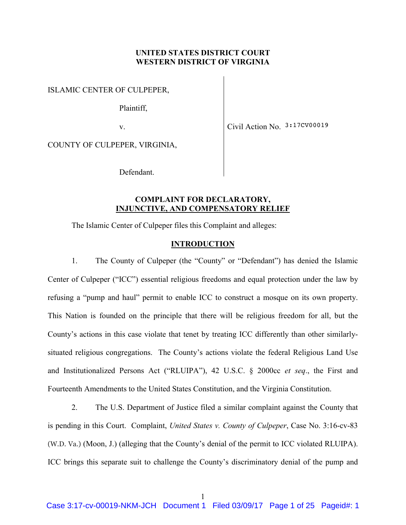## UNITED STATES DISTRICT COURT WESTERN DISTRICT OF VIRGINIA

ISLAMIC CENTER OF CULPEPER,

Plaintiff,

v.

Civil Action No. 3:17CV00019

COUNTY OF CULPEPER, VIRGINIA,

Defendant.

## COMPLAINT FOR DECLARATORY, INJUNCTIVE, AND COMPENSATORY RELIEF

The Islamic Center of Culpeper files this Complaint and alleges:

## **INTRODUCTION**

1. The County of Culpeper (the "County" or "Defendant") has denied the Islamic Center of Culpeper ("ICC") essential religious freedoms and equal protection under the law by refusing a "pump and haul" permit to enable ICC to construct a mosque on its own property. This Nation is founded on the principle that there will be religious freedom for all, but the County's actions in this case violate that tenet by treating ICC differently than other similarlysituated religious congregations. The County's actions violate the federal Religious Land Use and Institutionalized Persons Act ("RLUIPA"), 42 U.S.C. § 2000cc et seq., the First and Fourteenth Amendments to the United States Constitution, and the Virginia Constitution.

2. The U.S. Department of Justice filed a similar complaint against the County that is pending in this Court. Complaint, United States v. County of Culpeper, Case No. 3:16-cv-83 (W.D. Va.) (Moon, J.) (alleging that the County's denial of the permit to ICC violated RLUIPA). ICC brings this separate suit to challenge the County's discriminatory denial of the pump and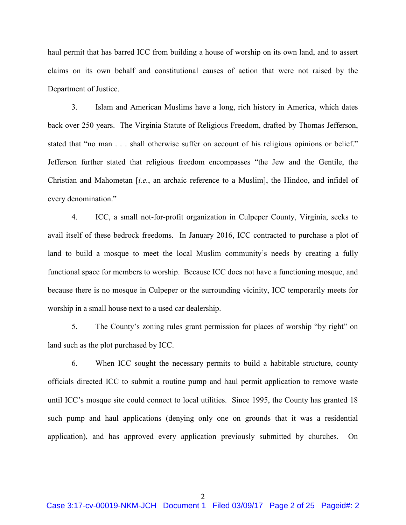haul permit that has barred ICC from building a house of worship on its own land, and to assert claims on its own behalf and constitutional causes of action that were not raised by the Department of Justice.

3. Islam and American Muslims have a long, rich history in America, which dates back over 250 years. The Virginia Statute of Religious Freedom, drafted by Thomas Jefferson, stated that "no man . . . shall otherwise suffer on account of his religious opinions or belief." Jefferson further stated that religious freedom encompasses "the Jew and the Gentile, the Christian and Mahometan [i.e., an archaic reference to a Muslim], the Hindoo, and infidel of every denomination."

4. ICC, a small not-for-profit organization in Culpeper County, Virginia, seeks to avail itself of these bedrock freedoms. In January 2016, ICC contracted to purchase a plot of land to build a mosque to meet the local Muslim community's needs by creating a fully functional space for members to worship. Because ICC does not have a functioning mosque, and because there is no mosque in Culpeper or the surrounding vicinity, ICC temporarily meets for worship in a small house next to a used car dealership.

5. The County's zoning rules grant permission for places of worship "by right" on land such as the plot purchased by ICC.

6. When ICC sought the necessary permits to build a habitable structure, county officials directed ICC to submit a routine pump and haul permit application to remove waste until ICC's mosque site could connect to local utilities. Since 1995, the County has granted 18 such pump and haul applications (denying only one on grounds that it was a residential application), and has approved every application previously submitted by churches. On

2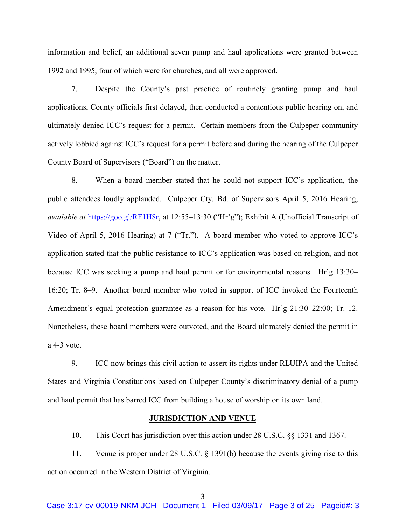information and belief, an additional seven pump and haul applications were granted between 1992 and 1995, four of which were for churches, and all were approved.

7. Despite the County's past practice of routinely granting pump and haul applications, County officials first delayed, then conducted a contentious public hearing on, and ultimately denied ICC's request for a permit. Certain members from the Culpeper community actively lobbied against ICC's request for a permit before and during the hearing of the Culpeper County Board of Supervisors ("Board") on the matter.

8. When a board member stated that he could not support ICC's application, the public attendees loudly applauded. Culpeper Cty. Bd. of Supervisors April 5, 2016 Hearing, available at https://goo.gl/RF1H8r, at 12:55–13:30 ("Hr'g"); Exhibit A (Unofficial Transcript of Video of April 5, 2016 Hearing) at 7 ("Tr."). A board member who voted to approve ICC's application stated that the public resistance to ICC's application was based on religion, and not because ICC was seeking a pump and haul permit or for environmental reasons. Hr'g 13:30– 16:20; Tr. 8–9. Another board member who voted in support of ICC invoked the Fourteenth Amendment's equal protection guarantee as a reason for his vote. Hr'g 21:30–22:00; Tr. 12. Nonetheless, these board members were outvoted, and the Board ultimately denied the permit in a 4-3 vote.

9. ICC now brings this civil action to assert its rights under RLUIPA and the United States and Virginia Constitutions based on Culpeper County's discriminatory denial of a pump and haul permit that has barred ICC from building a house of worship on its own land.

## JURISDICTION AND VENUE

10. This Court has jurisdiction over this action under 28 U.S.C. §§ 1331 and 1367.

11. Venue is proper under 28 U.S.C. § 1391(b) because the events giving rise to this action occurred in the Western District of Virginia.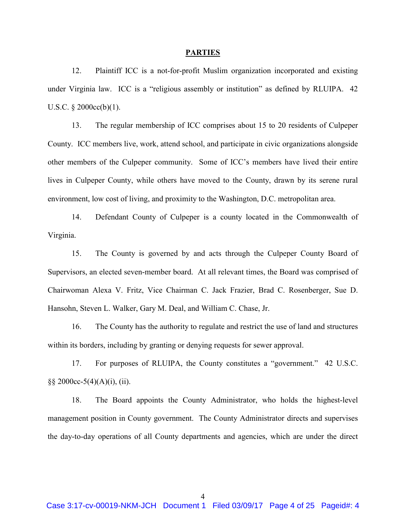#### PARTIES

12. Plaintiff ICC is a not-for-profit Muslim organization incorporated and existing under Virginia law. ICC is a "religious assembly or institution" as defined by RLUIPA. 42 U.S.C. § 2000cc(b)(1).

13. The regular membership of ICC comprises about 15 to 20 residents of Culpeper County. ICC members live, work, attend school, and participate in civic organizations alongside other members of the Culpeper community. Some of ICC's members have lived their entire lives in Culpeper County, while others have moved to the County, drawn by its serene rural environment, low cost of living, and proximity to the Washington, D.C. metropolitan area.

14. Defendant County of Culpeper is a county located in the Commonwealth of Virginia.

15. The County is governed by and acts through the Culpeper County Board of Supervisors, an elected seven-member board. At all relevant times, the Board was comprised of Chairwoman Alexa V. Fritz, Vice Chairman C. Jack Frazier, Brad C. Rosenberger, Sue D. Hansohn, Steven L. Walker, Gary M. Deal, and William C. Chase, Jr.

16. The County has the authority to regulate and restrict the use of land and structures within its borders, including by granting or denying requests for sewer approval.

17. For purposes of RLUIPA, the County constitutes a "government." 42 U.S.C.  $\S\S 2000cc-5(4)(A)(i)$ , (ii).

18. The Board appoints the County Administrator, who holds the highest-level management position in County government. The County Administrator directs and supervises the day-to-day operations of all County departments and agencies, which are under the direct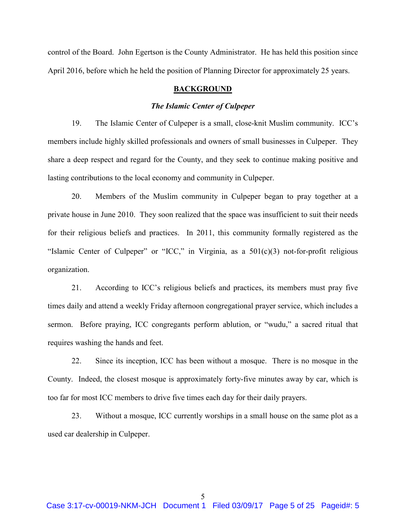control of the Board. John Egertson is the County Administrator. He has held this position since April 2016, before which he held the position of Planning Director for approximately 25 years.

## BACKGROUND

## The Islamic Center of Culpeper

19. The Islamic Center of Culpeper is a small, close-knit Muslim community. ICC's members include highly skilled professionals and owners of small businesses in Culpeper. They share a deep respect and regard for the County, and they seek to continue making positive and lasting contributions to the local economy and community in Culpeper.

20. Members of the Muslim community in Culpeper began to pray together at a private house in June 2010. They soon realized that the space was insufficient to suit their needs for their religious beliefs and practices. In 2011, this community formally registered as the "Islamic Center of Culpeper" or "ICC," in Virginia, as a 501(c)(3) not-for-profit religious organization.

21. According to ICC's religious beliefs and practices, its members must pray five times daily and attend a weekly Friday afternoon congregational prayer service, which includes a sermon. Before praying, ICC congregants perform ablution, or "wudu," a sacred ritual that requires washing the hands and feet.

22. Since its inception, ICC has been without a mosque. There is no mosque in the County. Indeed, the closest mosque is approximately forty-five minutes away by car, which is too far for most ICC members to drive five times each day for their daily prayers.

23. Without a mosque, ICC currently worships in a small house on the same plot as a used car dealership in Culpeper.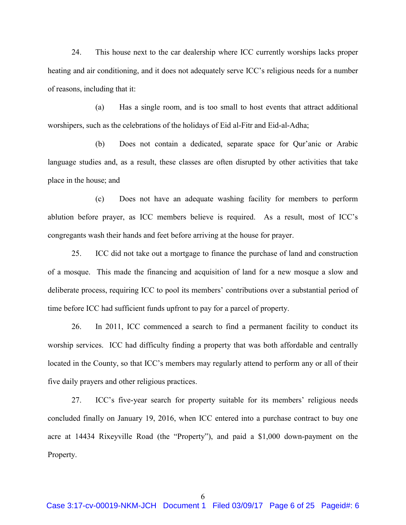24. This house next to the car dealership where ICC currently worships lacks proper heating and air conditioning, and it does not adequately serve ICC's religious needs for a number of reasons, including that it:

(a) Has a single room, and is too small to host events that attract additional worshipers, such as the celebrations of the holidays of Eid al-Fitr and Eid-al-Adha;

(b) Does not contain a dedicated, separate space for Qur'anic or Arabic language studies and, as a result, these classes are often disrupted by other activities that take place in the house; and

(c) Does not have an adequate washing facility for members to perform ablution before prayer, as ICC members believe is required. As a result, most of ICC's congregants wash their hands and feet before arriving at the house for prayer.

25. ICC did not take out a mortgage to finance the purchase of land and construction of a mosque. This made the financing and acquisition of land for a new mosque a slow and deliberate process, requiring ICC to pool its members' contributions over a substantial period of time before ICC had sufficient funds upfront to pay for a parcel of property.

26. In 2011, ICC commenced a search to find a permanent facility to conduct its worship services. ICC had difficulty finding a property that was both affordable and centrally located in the County, so that ICC's members may regularly attend to perform any or all of their five daily prayers and other religious practices.

27. ICC's five-year search for property suitable for its members' religious needs concluded finally on January 19, 2016, when ICC entered into a purchase contract to buy one acre at 14434 Rixeyville Road (the "Property"), and paid a \$1,000 down-payment on the Property.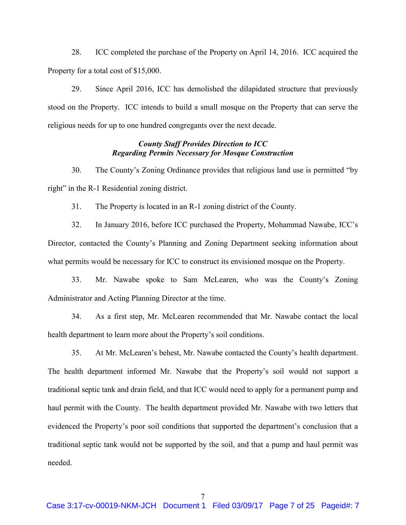28. ICC completed the purchase of the Property on April 14, 2016. ICC acquired the Property for a total cost of \$15,000.

29. Since April 2016, ICC has demolished the dilapidated structure that previously stood on the Property. ICC intends to build a small mosque on the Property that can serve the religious needs for up to one hundred congregants over the next decade.

## County Staff Provides Direction to ICC Regarding Permits Necessary for Mosque Construction

30. The County's Zoning Ordinance provides that religious land use is permitted "by right" in the R-1 Residential zoning district.

31. The Property is located in an R-1 zoning district of the County.

32. In January 2016, before ICC purchased the Property, Mohammad Nawabe, ICC's Director, contacted the County's Planning and Zoning Department seeking information about what permits would be necessary for ICC to construct its envisioned mosque on the Property.

33. Mr. Nawabe spoke to Sam McLearen, who was the County's Zoning Administrator and Acting Planning Director at the time.

34. As a first step, Mr. McLearen recommended that Mr. Nawabe contact the local health department to learn more about the Property's soil conditions.

35. At Mr. McLearen's behest, Mr. Nawabe contacted the County's health department. The health department informed Mr. Nawabe that the Property's soil would not support a traditional septic tank and drain field, and that ICC would need to apply for a permanent pump and haul permit with the County. The health department provided Mr. Nawabe with two letters that evidenced the Property's poor soil conditions that supported the department's conclusion that a traditional septic tank would not be supported by the soil, and that a pump and haul permit was needed.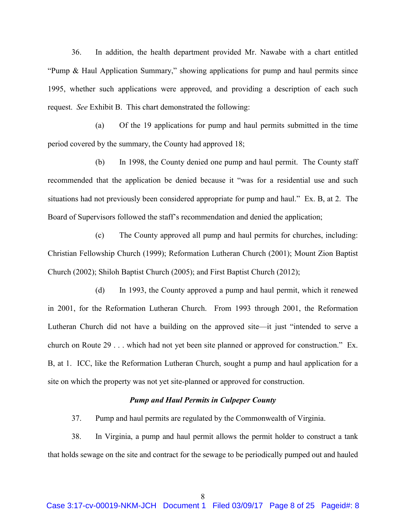36. In addition, the health department provided Mr. Nawabe with a chart entitled "Pump & Haul Application Summary," showing applications for pump and haul permits since 1995, whether such applications were approved, and providing a description of each such request. See Exhibit B. This chart demonstrated the following:

(a) Of the 19 applications for pump and haul permits submitted in the time period covered by the summary, the County had approved 18;

(b) In 1998, the County denied one pump and haul permit. The County staff recommended that the application be denied because it "was for a residential use and such situations had not previously been considered appropriate for pump and haul." Ex. B, at 2. The Board of Supervisors followed the staff's recommendation and denied the application;

(c) The County approved all pump and haul permits for churches, including: Christian Fellowship Church (1999); Reformation Lutheran Church (2001); Mount Zion Baptist Church (2002); Shiloh Baptist Church (2005); and First Baptist Church (2012);

(d) In 1993, the County approved a pump and haul permit, which it renewed in 2001, for the Reformation Lutheran Church. From 1993 through 2001, the Reformation Lutheran Church did not have a building on the approved site—it just "intended to serve a church on Route 29 . . . which had not yet been site planned or approved for construction." Ex. B, at 1. ICC, like the Reformation Lutheran Church, sought a pump and haul application for a site on which the property was not yet site-planned or approved for construction.

## Pump and Haul Permits in Culpeper County

37. Pump and haul permits are regulated by the Commonwealth of Virginia.

38. In Virginia, a pump and haul permit allows the permit holder to construct a tank that holds sewage on the site and contract for the sewage to be periodically pumped out and hauled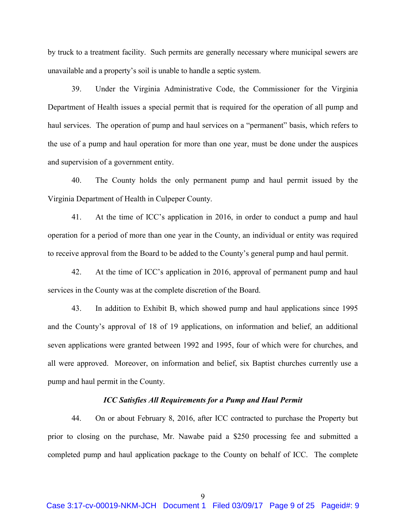by truck to a treatment facility. Such permits are generally necessary where municipal sewers are unavailable and a property's soil is unable to handle a septic system.

39. Under the Virginia Administrative Code, the Commissioner for the Virginia Department of Health issues a special permit that is required for the operation of all pump and haul services. The operation of pump and haul services on a "permanent" basis, which refers to the use of a pump and haul operation for more than one year, must be done under the auspices and supervision of a government entity.

40. The County holds the only permanent pump and haul permit issued by the Virginia Department of Health in Culpeper County.

41. At the time of ICC's application in 2016, in order to conduct a pump and haul operation for a period of more than one year in the County, an individual or entity was required to receive approval from the Board to be added to the County's general pump and haul permit.

42. At the time of ICC's application in 2016, approval of permanent pump and haul services in the County was at the complete discretion of the Board.

43. In addition to Exhibit B, which showed pump and haul applications since 1995 and the County's approval of 18 of 19 applications, on information and belief, an additional seven applications were granted between 1992 and 1995, four of which were for churches, and all were approved. Moreover, on information and belief, six Baptist churches currently use a pump and haul permit in the County.

## ICC Satisfies All Requirements for a Pump and Haul Permit

44. On or about February 8, 2016, after ICC contracted to purchase the Property but prior to closing on the purchase, Mr. Nawabe paid a \$250 processing fee and submitted a completed pump and haul application package to the County on behalf of ICC. The complete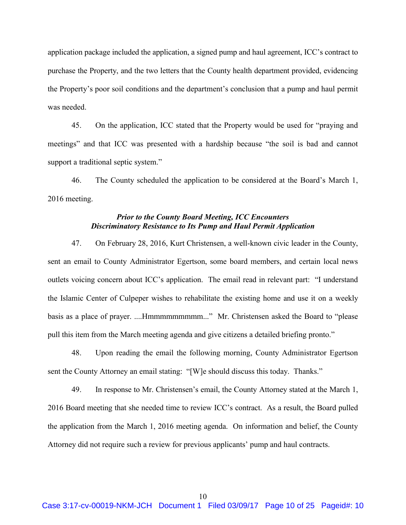application package included the application, a signed pump and haul agreement, ICC's contract to purchase the Property, and the two letters that the County health department provided, evidencing the Property's poor soil conditions and the department's conclusion that a pump and haul permit was needed.

45. On the application, ICC stated that the Property would be used for "praying and meetings" and that ICC was presented with a hardship because "the soil is bad and cannot support a traditional septic system."

46. The County scheduled the application to be considered at the Board's March 1, 2016 meeting.

## Prior to the County Board Meeting, ICC Encounters Discriminatory Resistance to Its Pump and Haul Permit Application

47. On February 28, 2016, Kurt Christensen, a well-known civic leader in the County, sent an email to County Administrator Egertson, some board members, and certain local news outlets voicing concern about ICC's application. The email read in relevant part: "I understand the Islamic Center of Culpeper wishes to rehabilitate the existing home and use it on a weekly basis as a place of prayer. ....Hmmmmmmmmmm..." Mr. Christensen asked the Board to "please pull this item from the March meeting agenda and give citizens a detailed briefing pronto."

48. Upon reading the email the following morning, County Administrator Egertson sent the County Attorney an email stating: "[W]e should discuss this today. Thanks."

49. In response to Mr. Christensen's email, the County Attorney stated at the March 1, 2016 Board meeting that she needed time to review ICC's contract. As a result, the Board pulled the application from the March 1, 2016 meeting agenda. On information and belief, the County Attorney did not require such a review for previous applicants' pump and haul contracts.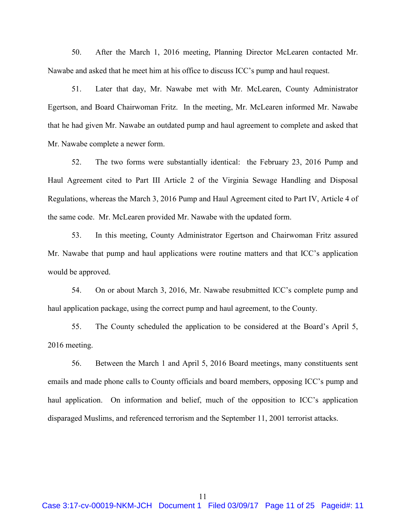50. After the March 1, 2016 meeting, Planning Director McLearen contacted Mr. Nawabe and asked that he meet him at his office to discuss ICC's pump and haul request.

51. Later that day, Mr. Nawabe met with Mr. McLearen, County Administrator Egertson, and Board Chairwoman Fritz. In the meeting, Mr. McLearen informed Mr. Nawabe that he had given Mr. Nawabe an outdated pump and haul agreement to complete and asked that Mr. Nawabe complete a newer form.

52. The two forms were substantially identical: the February 23, 2016 Pump and Haul Agreement cited to Part III Article 2 of the Virginia Sewage Handling and Disposal Regulations, whereas the March 3, 2016 Pump and Haul Agreement cited to Part IV, Article 4 of the same code. Mr. McLearen provided Mr. Nawabe with the updated form.

53. In this meeting, County Administrator Egertson and Chairwoman Fritz assured Mr. Nawabe that pump and haul applications were routine matters and that ICC's application would be approved.

54. On or about March 3, 2016, Mr. Nawabe resubmitted ICC's complete pump and haul application package, using the correct pump and haul agreement, to the County.

55. The County scheduled the application to be considered at the Board's April 5, 2016 meeting.

56. Between the March 1 and April 5, 2016 Board meetings, many constituents sent emails and made phone calls to County officials and board members, opposing ICC's pump and haul application. On information and belief, much of the opposition to ICC's application disparaged Muslims, and referenced terrorism and the September 11, 2001 terrorist attacks.

11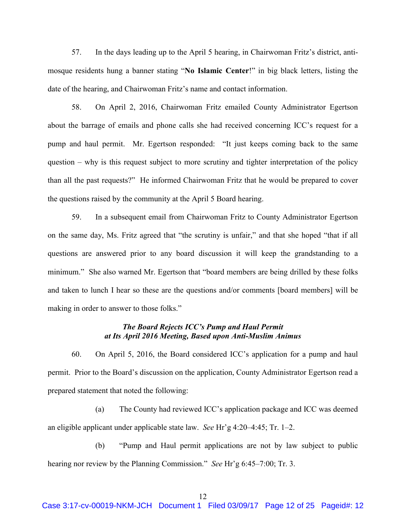57. In the days leading up to the April 5 hearing, in Chairwoman Fritz's district, antimosque residents hung a banner stating "No Islamic Center!" in big black letters, listing the date of the hearing, and Chairwoman Fritz's name and contact information.

58. On April 2, 2016, Chairwoman Fritz emailed County Administrator Egertson about the barrage of emails and phone calls she had received concerning ICC's request for a pump and haul permit. Mr. Egertson responded: "It just keeps coming back to the same question – why is this request subject to more scrutiny and tighter interpretation of the policy than all the past requests?" He informed Chairwoman Fritz that he would be prepared to cover the questions raised by the community at the April 5 Board hearing.

59. In a subsequent email from Chairwoman Fritz to County Administrator Egertson on the same day, Ms. Fritz agreed that "the scrutiny is unfair," and that she hoped "that if all questions are answered prior to any board discussion it will keep the grandstanding to a minimum." She also warned Mr. Egertson that "board members are being drilled by these folks and taken to lunch I hear so these are the questions and/or comments [board members] will be making in order to answer to those folks."

## The Board Rejects ICC's Pump and Haul Permit at Its April 2016 Meeting, Based upon Anti-Muslim Animus

60. On April 5, 2016, the Board considered ICC's application for a pump and haul permit. Prior to the Board's discussion on the application, County Administrator Egertson read a prepared statement that noted the following:

(a) The County had reviewed ICC's application package and ICC was deemed an eligible applicant under applicable state law. See Hr'g 4:20–4:45; Tr. 1–2.

(b) "Pump and Haul permit applications are not by law subject to public hearing nor review by the Planning Commission." See Hr'g 6:45–7:00; Tr. 3.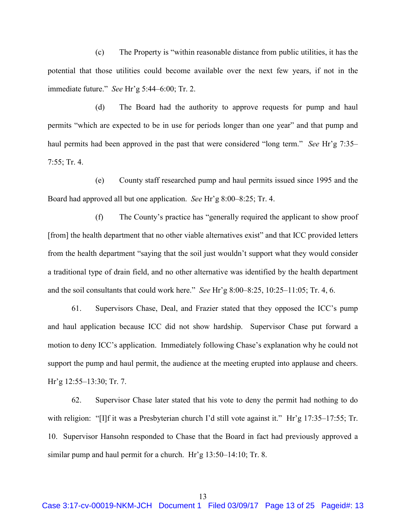(c) The Property is "within reasonable distance from public utilities, it has the potential that those utilities could become available over the next few years, if not in the immediate future." See Hr'g 5:44–6:00; Tr. 2.

(d) The Board had the authority to approve requests for pump and haul permits "which are expected to be in use for periods longer than one year" and that pump and haul permits had been approved in the past that were considered "long term." See Hr'g 7:35– 7:55; Tr. 4.

(e) County staff researched pump and haul permits issued since 1995 and the Board had approved all but one application. See Hr'g 8:00–8:25; Tr. 4.

(f) The County's practice has "generally required the applicant to show proof [from] the health department that no other viable alternatives exist" and that ICC provided letters from the health department "saying that the soil just wouldn't support what they would consider a traditional type of drain field, and no other alternative was identified by the health department and the soil consultants that could work here." See Hr'g 8:00–8:25, 10:25–11:05; Tr. 4, 6.

61. Supervisors Chase, Deal, and Frazier stated that they opposed the ICC's pump and haul application because ICC did not show hardship. Supervisor Chase put forward a motion to deny ICC's application. Immediately following Chase's explanation why he could not support the pump and haul permit, the audience at the meeting erupted into applause and cheers. Hr'g 12:55–13:30; Tr. 7.

62. Supervisor Chase later stated that his vote to deny the permit had nothing to do with religion: "[I]f it was a Presbyterian church I'd still vote against it." Hr'g 17:35–17:55; Tr. 10. Supervisor Hansohn responded to Chase that the Board in fact had previously approved a similar pump and haul permit for a church. Hr'g 13:50–14:10; Tr. 8.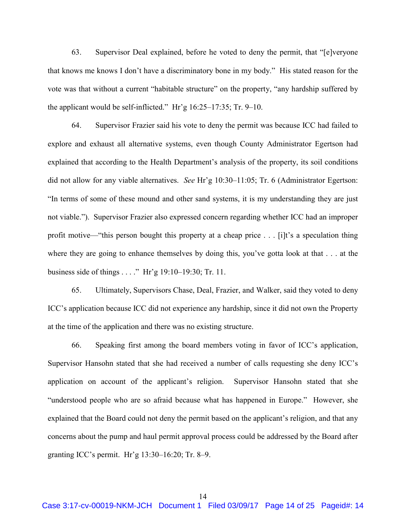63. Supervisor Deal explained, before he voted to deny the permit, that "[e]veryone that knows me knows I don't have a discriminatory bone in my body." His stated reason for the vote was that without a current "habitable structure" on the property, "any hardship suffered by the applicant would be self-inflicted." Hr'g 16:25–17:35; Tr. 9–10.

64. Supervisor Frazier said his vote to deny the permit was because ICC had failed to explore and exhaust all alternative systems, even though County Administrator Egertson had explained that according to the Health Department's analysis of the property, its soil conditions did not allow for any viable alternatives. See Hr'g 10:30–11:05; Tr. 6 (Administrator Egertson: "In terms of some of these mound and other sand systems, it is my understanding they are just not viable."). Supervisor Frazier also expressed concern regarding whether ICC had an improper profit motive—"this person bought this property at a cheap price . . . [i]t's a speculation thing where they are going to enhance themselves by doing this, you've gotta look at that . . . at the business side of things . . . ." Hr'g 19:10–19:30; Tr. 11.

65. Ultimately, Supervisors Chase, Deal, Frazier, and Walker, said they voted to deny ICC's application because ICC did not experience any hardship, since it did not own the Property at the time of the application and there was no existing structure.

66. Speaking first among the board members voting in favor of ICC's application, Supervisor Hansohn stated that she had received a number of calls requesting she deny ICC's application on account of the applicant's religion. Supervisor Hansohn stated that she "understood people who are so afraid because what has happened in Europe." However, she explained that the Board could not deny the permit based on the applicant's religion, and that any concerns about the pump and haul permit approval process could be addressed by the Board after granting ICC's permit. Hr'g 13:30–16:20; Tr. 8–9.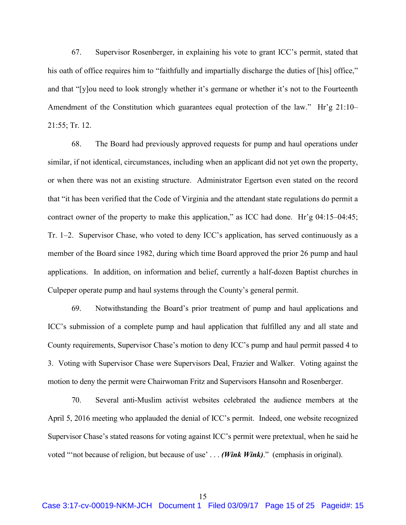67. Supervisor Rosenberger, in explaining his vote to grant ICC's permit, stated that his oath of office requires him to "faithfully and impartially discharge the duties of [his] office," and that "[y]ou need to look strongly whether it's germane or whether it's not to the Fourteenth Amendment of the Constitution which guarantees equal protection of the law." Hr'g 21:10– 21:55; Tr. 12.

68. The Board had previously approved requests for pump and haul operations under similar, if not identical, circumstances, including when an applicant did not yet own the property, or when there was not an existing structure. Administrator Egertson even stated on the record that "it has been verified that the Code of Virginia and the attendant state regulations do permit a contract owner of the property to make this application," as ICC had done. Hr'g 04:15–04:45; Tr. 1–2. Supervisor Chase, who voted to deny ICC's application, has served continuously as a member of the Board since 1982, during which time Board approved the prior 26 pump and haul applications. In addition, on information and belief, currently a half-dozen Baptist churches in Culpeper operate pump and haul systems through the County's general permit.

69. Notwithstanding the Board's prior treatment of pump and haul applications and ICC's submission of a complete pump and haul application that fulfilled any and all state and County requirements, Supervisor Chase's motion to deny ICC's pump and haul permit passed 4 to 3. Voting with Supervisor Chase were Supervisors Deal, Frazier and Walker. Voting against the motion to deny the permit were Chairwoman Fritz and Supervisors Hansohn and Rosenberger.

70. Several anti-Muslim activist websites celebrated the audience members at the April 5, 2016 meeting who applauded the denial of ICC's permit. Indeed, one website recognized Supervisor Chase's stated reasons for voting against ICC's permit were pretextual, when he said he voted "not because of religion, but because of use' ... (Wink Wink)." (emphasis in original).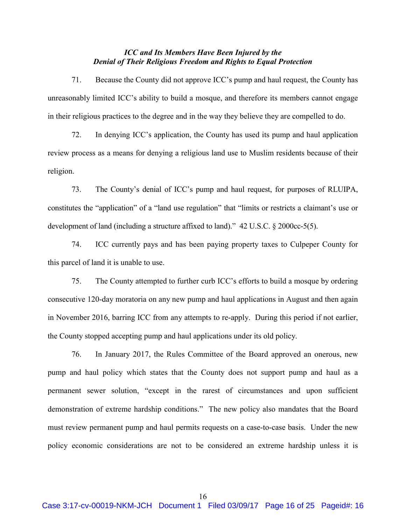## ICC and Its Members Have Been Injured by the Denial of Their Religious Freedom and Rights to Equal Protection

71. Because the County did not approve ICC's pump and haul request, the County has unreasonably limited ICC's ability to build a mosque, and therefore its members cannot engage in their religious practices to the degree and in the way they believe they are compelled to do.

72. In denying ICC's application, the County has used its pump and haul application review process as a means for denying a religious land use to Muslim residents because of their religion.

73. The County's denial of ICC's pump and haul request, for purposes of RLUIPA, constitutes the "application" of a "land use regulation" that "limits or restricts a claimant's use or development of land (including a structure affixed to land)." 42 U.S.C. § 2000cc-5(5).

74. ICC currently pays and has been paying property taxes to Culpeper County for this parcel of land it is unable to use.

75. The County attempted to further curb ICC's efforts to build a mosque by ordering consecutive 120-day moratoria on any new pump and haul applications in August and then again in November 2016, barring ICC from any attempts to re-apply. During this period if not earlier, the County stopped accepting pump and haul applications under its old policy.

76. In January 2017, the Rules Committee of the Board approved an onerous, new pump and haul policy which states that the County does not support pump and haul as a permanent sewer solution, "except in the rarest of circumstances and upon sufficient demonstration of extreme hardship conditions." The new policy also mandates that the Board must review permanent pump and haul permits requests on a case-to-case basis. Under the new policy economic considerations are not to be considered an extreme hardship unless it is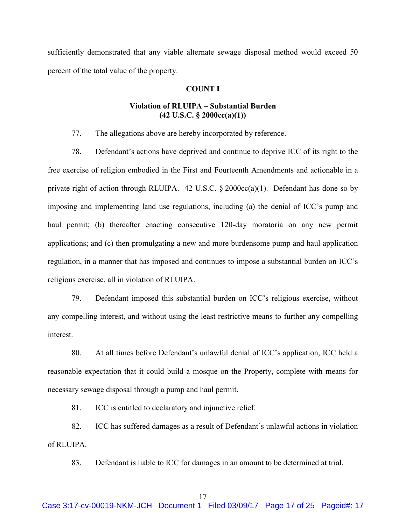sufficiently demonstrated that any viable alternate sewage disposal method would exceed 50 percent of the total value of the property.

# COUNT I

# Violation of RLUIPA – Substantial Burden  $(42 \text{ U.S.C. } § 2000cc(a)(1))$

77. The allegations above are hereby incorporated by reference.

78. Defendant's actions have deprived and continue to deprive ICC of its right to the free exercise of religion embodied in the First and Fourteenth Amendments and actionable in a private right of action through RLUIPA. 42 U.S.C.  $\S$  2000cc(a)(1). Defendant has done so by imposing and implementing land use regulations, including (a) the denial of ICC's pump and haul permit; (b) thereafter enacting consecutive 120-day moratoria on any new permit applications; and (c) then promulgating a new and more burdensome pump and haul application regulation, in a manner that has imposed and continues to impose a substantial burden on ICC's religious exercise, all in violation of RLUIPA.

79. Defendant imposed this substantial burden on ICC's religious exercise, without any compelling interest, and without using the least restrictive means to further any compelling interest.

80. At all times before Defendant's unlawful denial of ICC's application, ICC held a reasonable expectation that it could build a mosque on the Property, complete with means for necessary sewage disposal through a pump and haul permit.

81. ICC is entitled to declaratory and injunctive relief.

82. ICC has suffered damages as a result of Defendant's unlawful actions in violation of RLUIPA.

83. Defendant is liable to ICC for damages in an amount to be determined at trial.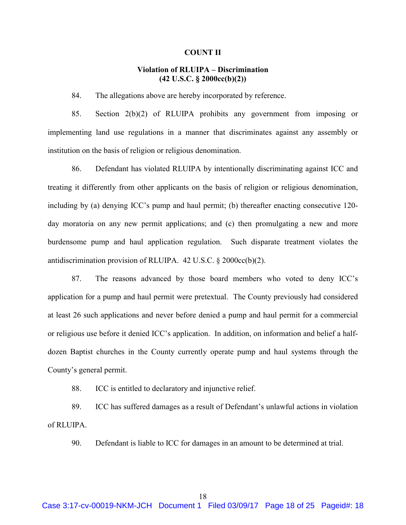#### COUNT II

# Violation of RLUIPA – Discrimination (42 U.S.C. § 2000cc(b)(2))

84. The allegations above are hereby incorporated by reference.

85. Section 2(b)(2) of RLUIPA prohibits any government from imposing or implementing land use regulations in a manner that discriminates against any assembly or institution on the basis of religion or religious denomination.

86. Defendant has violated RLUIPA by intentionally discriminating against ICC and treating it differently from other applicants on the basis of religion or religious denomination, including by (a) denying ICC's pump and haul permit; (b) thereafter enacting consecutive 120 day moratoria on any new permit applications; and (c) then promulgating a new and more burdensome pump and haul application regulation. Such disparate treatment violates the antidiscrimination provision of RLUIPA. 42 U.S.C. § 2000cc(b)(2).

87. The reasons advanced by those board members who voted to deny ICC's application for a pump and haul permit were pretextual. The County previously had considered at least 26 such applications and never before denied a pump and haul permit for a commercial or religious use before it denied ICC's application. In addition, on information and belief a halfdozen Baptist churches in the County currently operate pump and haul systems through the County's general permit.

88. ICC is entitled to declaratory and injunctive relief.

89. ICC has suffered damages as a result of Defendant's unlawful actions in violation of RLUIPA.

90. Defendant is liable to ICC for damages in an amount to be determined at trial.

18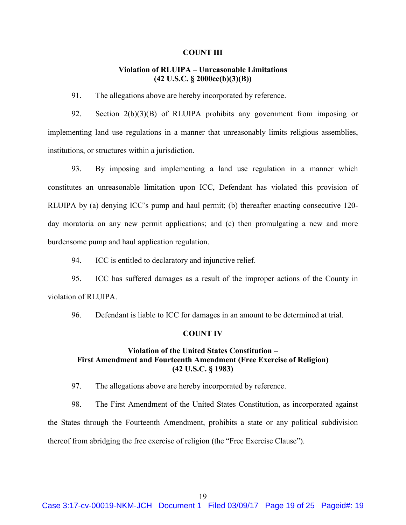#### COUNT III

## Violation of RLUIPA – Unreasonable Limitations (42 U.S.C. § 2000cc(b)(3)(B))

91. The allegations above are hereby incorporated by reference.

92. Section 2(b)(3)(B) of RLUIPA prohibits any government from imposing or implementing land use regulations in a manner that unreasonably limits religious assemblies, institutions, or structures within a jurisdiction.

93. By imposing and implementing a land use regulation in a manner which constitutes an unreasonable limitation upon ICC, Defendant has violated this provision of RLUIPA by (a) denying ICC's pump and haul permit; (b) thereafter enacting consecutive 120 day moratoria on any new permit applications; and (c) then promulgating a new and more burdensome pump and haul application regulation.

94. ICC is entitled to declaratory and injunctive relief.

95. ICC has suffered damages as a result of the improper actions of the County in violation of RLUIPA.

96. Defendant is liable to ICC for damages in an amount to be determined at trial.

# COUNT IV

# Violation of the United States Constitution – First Amendment and Fourteenth Amendment (Free Exercise of Religion) (42 U.S.C. § 1983)

97. The allegations above are hereby incorporated by reference.

98. The First Amendment of the United States Constitution, as incorporated against the States through the Fourteenth Amendment, prohibits a state or any political subdivision thereof from abridging the free exercise of religion (the "Free Exercise Clause").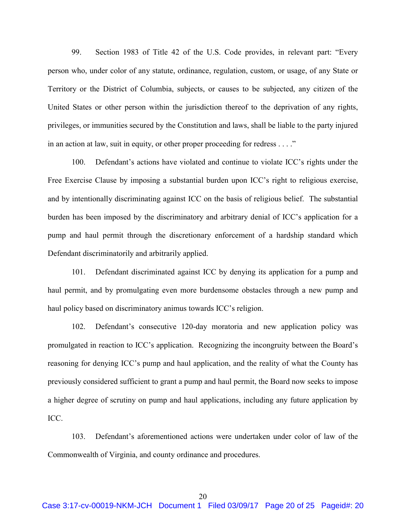99. Section 1983 of Title 42 of the U.S. Code provides, in relevant part: "Every person who, under color of any statute, ordinance, regulation, custom, or usage, of any State or Territory or the District of Columbia, subjects, or causes to be subjected, any citizen of the United States or other person within the jurisdiction thereof to the deprivation of any rights, privileges, or immunities secured by the Constitution and laws, shall be liable to the party injured in an action at law, suit in equity, or other proper proceeding for redress . . . ."

100. Defendant's actions have violated and continue to violate ICC's rights under the Free Exercise Clause by imposing a substantial burden upon ICC's right to religious exercise, and by intentionally discriminating against ICC on the basis of religious belief. The substantial burden has been imposed by the discriminatory and arbitrary denial of ICC's application for a pump and haul permit through the discretionary enforcement of a hardship standard which Defendant discriminatorily and arbitrarily applied.

101. Defendant discriminated against ICC by denying its application for a pump and haul permit, and by promulgating even more burdensome obstacles through a new pump and haul policy based on discriminatory animus towards ICC's religion.

102. Defendant's consecutive 120-day moratoria and new application policy was promulgated in reaction to ICC's application. Recognizing the incongruity between the Board's reasoning for denying ICC's pump and haul application, and the reality of what the County has previously considered sufficient to grant a pump and haul permit, the Board now seeks to impose a higher degree of scrutiny on pump and haul applications, including any future application by ICC.

103. Defendant's aforementioned actions were undertaken under color of law of the Commonwealth of Virginia, and county ordinance and procedures.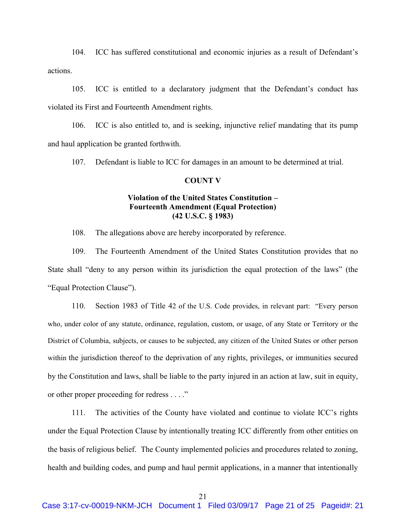104. ICC has suffered constitutional and economic injuries as a result of Defendant's actions.

105. ICC is entitled to a declaratory judgment that the Defendant's conduct has violated its First and Fourteenth Amendment rights.

106. ICC is also entitled to, and is seeking, injunctive relief mandating that its pump and haul application be granted forthwith.

107. Defendant is liable to ICC for damages in an amount to be determined at trial.

#### COUNT V

# Violation of the United States Constitution – Fourteenth Amendment (Equal Protection) (42 U.S.C. § 1983)

108. The allegations above are hereby incorporated by reference.

109. The Fourteenth Amendment of the United States Constitution provides that no State shall "deny to any person within its jurisdiction the equal protection of the laws" (the "Equal Protection Clause").

110. Section 1983 of Title 42 of the U.S. Code provides, in relevant part: "Every person who, under color of any statute, ordinance, regulation, custom, or usage, of any State or Territory or the District of Columbia, subjects, or causes to be subjected, any citizen of the United States or other person within the jurisdiction thereof to the deprivation of any rights, privileges, or immunities secured by the Constitution and laws, shall be liable to the party injured in an action at law, suit in equity, or other proper proceeding for redress . . . ."

111. The activities of the County have violated and continue to violate ICC's rights under the Equal Protection Clause by intentionally treating ICC differently from other entities on the basis of religious belief. The County implemented policies and procedures related to zoning, health and building codes, and pump and haul permit applications, in a manner that intentionally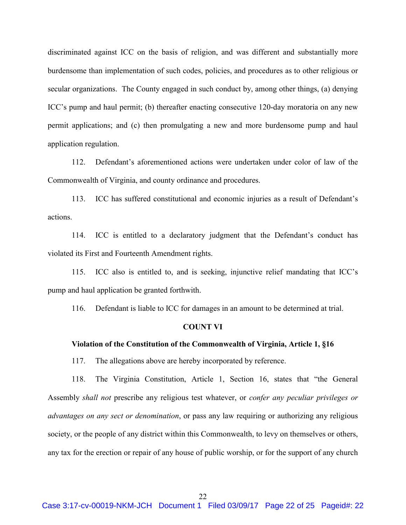discriminated against ICC on the basis of religion, and was different and substantially more burdensome than implementation of such codes, policies, and procedures as to other religious or secular organizations. The County engaged in such conduct by, among other things, (a) denying ICC's pump and haul permit; (b) thereafter enacting consecutive 120-day moratoria on any new permit applications; and (c) then promulgating a new and more burdensome pump and haul application regulation.

112. Defendant's aforementioned actions were undertaken under color of law of the Commonwealth of Virginia, and county ordinance and procedures.

113. ICC has suffered constitutional and economic injuries as a result of Defendant's actions.

114. ICC is entitled to a declaratory judgment that the Defendant's conduct has violated its First and Fourteenth Amendment rights.

115. ICC also is entitled to, and is seeking, injunctive relief mandating that ICC's pump and haul application be granted forthwith.

116. Defendant is liable to ICC for damages in an amount to be determined at trial.

#### COUNT VI

## Violation of the Constitution of the Commonwealth of Virginia, Article 1, §16

117. The allegations above are hereby incorporated by reference.

118. The Virginia Constitution, Article 1, Section 16, states that "the General Assembly shall not prescribe any religious test whatever, or confer any peculiar privileges or advantages on any sect or denomination, or pass any law requiring or authorizing any religious society, or the people of any district within this Commonwealth, to levy on themselves or others, any tax for the erection or repair of any house of public worship, or for the support of any church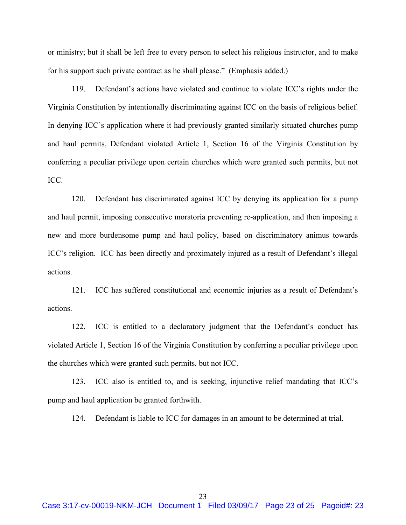or ministry; but it shall be left free to every person to select his religious instructor, and to make for his support such private contract as he shall please." (Emphasis added.)

119. Defendant's actions have violated and continue to violate ICC's rights under the Virginia Constitution by intentionally discriminating against ICC on the basis of religious belief. In denying ICC's application where it had previously granted similarly situated churches pump and haul permits, Defendant violated Article 1, Section 16 of the Virginia Constitution by conferring a peculiar privilege upon certain churches which were granted such permits, but not ICC.

120. Defendant has discriminated against ICC by denying its application for a pump and haul permit, imposing consecutive moratoria preventing re-application, and then imposing a new and more burdensome pump and haul policy, based on discriminatory animus towards ICC's religion. ICC has been directly and proximately injured as a result of Defendant's illegal actions.

121. ICC has suffered constitutional and economic injuries as a result of Defendant's actions.

122. ICC is entitled to a declaratory judgment that the Defendant's conduct has violated Article 1, Section 16 of the Virginia Constitution by conferring a peculiar privilege upon the churches which were granted such permits, but not ICC.

123. ICC also is entitled to, and is seeking, injunctive relief mandating that ICC's pump and haul application be granted forthwith.

124. Defendant is liable to ICC for damages in an amount to be determined at trial.

23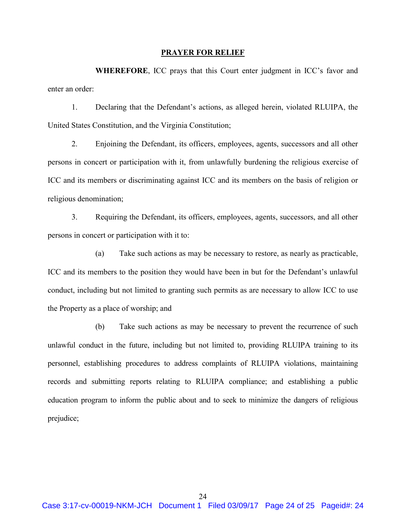#### PRAYER FOR RELIEF

WHEREFORE, ICC prays that this Court enter judgment in ICC's favor and enter an order:

1. Declaring that the Defendant's actions, as alleged herein, violated RLUIPA, the United States Constitution, and the Virginia Constitution;

2. Enjoining the Defendant, its officers, employees, agents, successors and all other persons in concert or participation with it, from unlawfully burdening the religious exercise of ICC and its members or discriminating against ICC and its members on the basis of religion or religious denomination;

3. Requiring the Defendant, its officers, employees, agents, successors, and all other persons in concert or participation with it to:

(a) Take such actions as may be necessary to restore, as nearly as practicable, ICC and its members to the position they would have been in but for the Defendant's unlawful conduct, including but not limited to granting such permits as are necessary to allow ICC to use the Property as a place of worship; and

(b) Take such actions as may be necessary to prevent the recurrence of such unlawful conduct in the future, including but not limited to, providing RLUIPA training to its personnel, establishing procedures to address complaints of RLUIPA violations, maintaining records and submitting reports relating to RLUIPA compliance; and establishing a public education program to inform the public about and to seek to minimize the dangers of religious prejudice;

24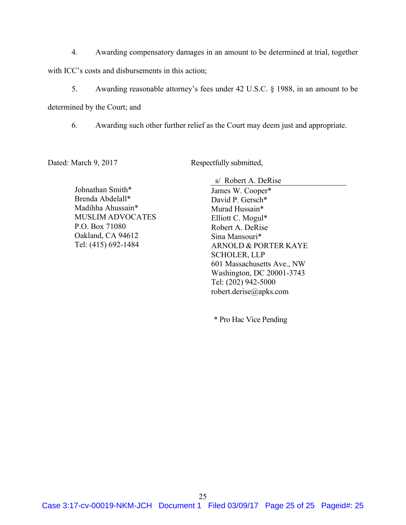4. Awarding compensatory damages in an amount to be determined at trial, together with ICC's costs and disbursements in this action;

5. Awarding reasonable attorney's fees under 42 U.S.C. § 1988, in an amount to be

determined by the Court; and

6. Awarding such other further relief as the Court may deem just and appropriate.

Dated: March 9, 2017 Respectfully submitted,

Johnathan Smith\* Brenda Abdelall\* Madihha Ahussain\* MUSLIM ADVOCATES P.O. Box 71080 Oakland, CA 94612 Tel: (415) 692-1484

s/ Robert A. DeRise

James W. Cooper\* David P. Gersch\* Murad Hussain\* Elliott C. Mogul\* Robert A. DeRise Sina Mansouri\* ARNOLD & PORTER KAYE SCHOLER, LLP 601 Massachusetts Ave., NW Washington, DC 20001-3743 Tel: (202) 942-5000 robert.derise@apks.com

\* Pro Hac Vice Pending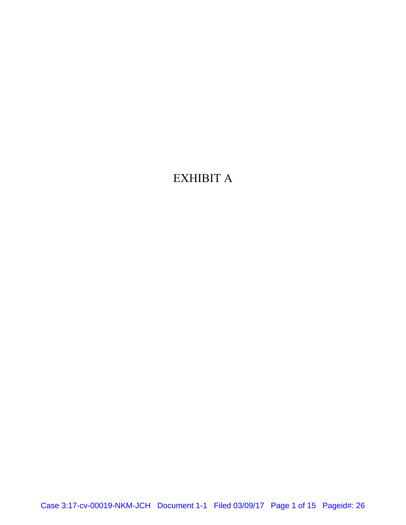# EXHIBIT A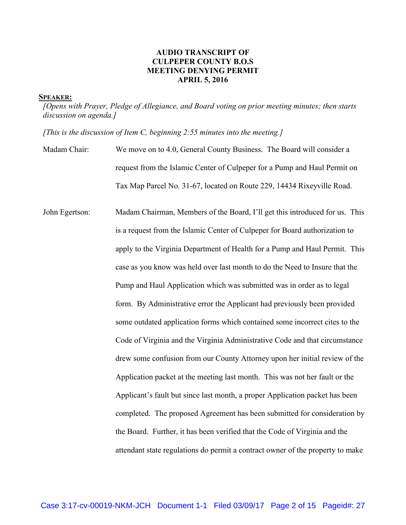# AUDIO TRANSCRIPT OF CULPEPER COUNTY B.O.S MEETING DENYING PERMIT APRIL 5, 2016

#### SPEAKER:

[Opens with Prayer, Pledge of Allegiance, and Board voting on prior meeting minutes; then starts discussion on agenda.]

[This is the discussion of Item C, beginning 2:55 minutes into the meeting.]

- Madam Chair: We move on to 4.0, General County Business. The Board will consider a request from the Islamic Center of Culpeper for a Pump and Haul Permit on Tax Map Parcel No. 31-67, located on Route 229, 14434 Rixeyville Road.
- John Egertson: Madam Chairman, Members of the Board, I'll get this introduced for us. This is a request from the Islamic Center of Culpeper for Board authorization to apply to the Virginia Department of Health for a Pump and Haul Permit. This case as you know was held over last month to do the Need to Insure that the Pump and Haul Application which was submitted was in order as to legal form. By Administrative error the Applicant had previously been provided some outdated application forms which contained some incorrect cites to the Code of Virginia and the Virginia Administrative Code and that circumstance drew some confusion from our County Attorney upon her initial review of the Application packet at the meeting last month. This was not her fault or the Applicant's fault but since last month, a proper Application packet has been completed. The proposed Agreement has been submitted for consideration by the Board. Further, it has been verified that the Code of Virginia and the attendant state regulations do permit a contract owner of the property to make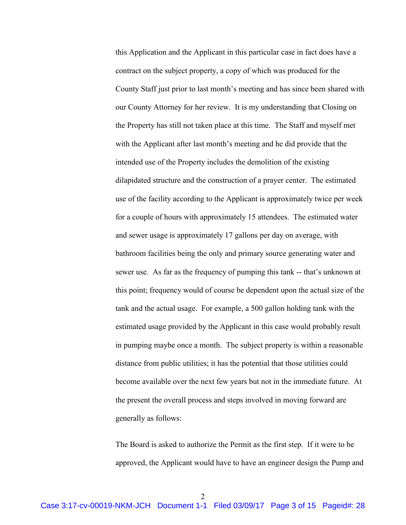this Application and the Applicant in this particular case in fact does have a contract on the subject property, a copy of which was produced for the County Staff just prior to last month's meeting and has since been shared with our County Attorney for her review. It is my understanding that Closing on the Property has still not taken place at this time. The Staff and myself met with the Applicant after last month's meeting and he did provide that the intended use of the Property includes the demolition of the existing dilapidated structure and the construction of a prayer center. The estimated use of the facility according to the Applicant is approximately twice per week for a couple of hours with approximately 15 attendees. The estimated water and sewer usage is approximately 17 gallons per day on average, with bathroom facilities being the only and primary source generating water and sewer use. As far as the frequency of pumping this tank -- that's unknown at this point; frequency would of course be dependent upon the actual size of the tank and the actual usage. For example, a 500 gallon holding tank with the estimated usage provided by the Applicant in this case would probably result in pumping maybe once a month. The subject property is within a reasonable distance from public utilities; it has the potential that those utilities could become available over the next few years but not in the immediate future. At the present the overall process and steps involved in moving forward are generally as follows:

The Board is asked to authorize the Permit as the first step. If it were to be approved, the Applicant would have to have an engineer design the Pump and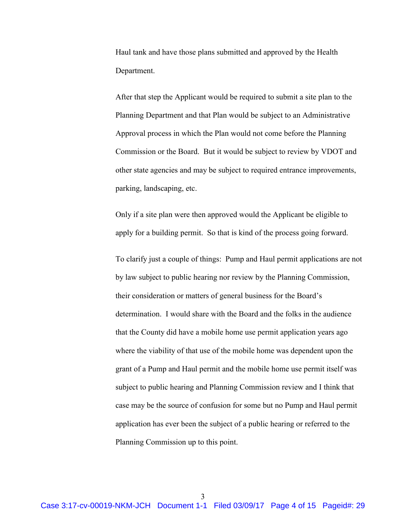Haul tank and have those plans submitted and approved by the Health Department.

After that step the Applicant would be required to submit a site plan to the Planning Department and that Plan would be subject to an Administrative Approval process in which the Plan would not come before the Planning Commission or the Board. But it would be subject to review by VDOT and other state agencies and may be subject to required entrance improvements, parking, landscaping, etc.

Only if a site plan were then approved would the Applicant be eligible to apply for a building permit. So that is kind of the process going forward.

To clarify just a couple of things: Pump and Haul permit applications are not by law subject to public hearing nor review by the Planning Commission, their consideration or matters of general business for the Board's determination. I would share with the Board and the folks in the audience that the County did have a mobile home use permit application years ago where the viability of that use of the mobile home was dependent upon the grant of a Pump and Haul permit and the mobile home use permit itself was subject to public hearing and Planning Commission review and I think that case may be the source of confusion for some but no Pump and Haul permit application has ever been the subject of a public hearing or referred to the Planning Commission up to this point.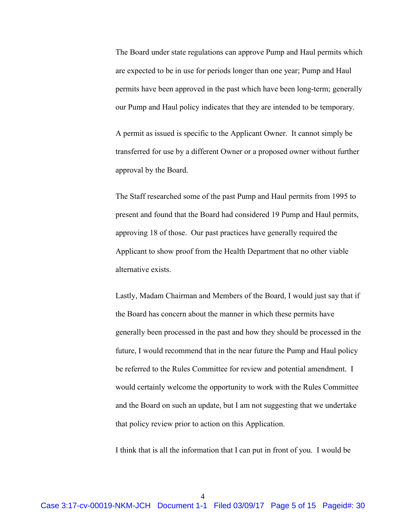The Board under state regulations can approve Pump and Haul permits which are expected to be in use for periods longer than one year; Pump and Haul permits have been approved in the past which have been long-term; generally our Pump and Haul policy indicates that they are intended to be temporary.

A permit as issued is specific to the Applicant Owner. It cannot simply be transferred for use by a different Owner or a proposed owner without further approval by the Board.

The Staff researched some of the past Pump and Haul permits from 1995 to present and found that the Board had considered 19 Pump and Haul permits, approving 18 of those. Our past practices have generally required the Applicant to show proof from the Health Department that no other viable alternative exists.

Lastly, Madam Chairman and Members of the Board, I would just say that if the Board has concern about the manner in which these permits have generally been processed in the past and how they should be processed in the future, I would recommend that in the near future the Pump and Haul policy be referred to the Rules Committee for review and potential amendment. I would certainly welcome the opportunity to work with the Rules Committee and the Board on such an update, but I am not suggesting that we undertake that policy review prior to action on this Application.

I think that is all the information that I can put in front of you. I would be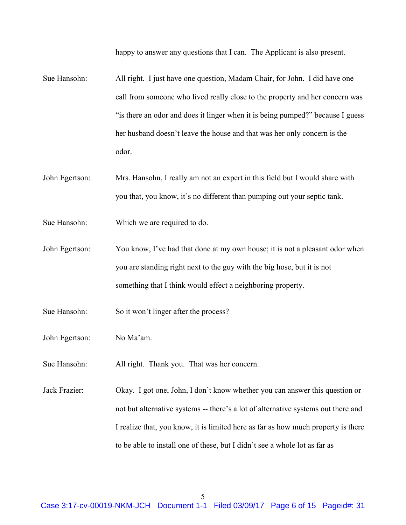happy to answer any questions that I can. The Applicant is also present.

- Sue Hansohn: All right. I just have one question, Madam Chair, for John. I did have one call from someone who lived really close to the property and her concern was "is there an odor and does it linger when it is being pumped?" because I guess her husband doesn't leave the house and that was her only concern is the odor.
- John Egertson: Mrs. Hansohn, I really am not an expert in this field but I would share with you that, you know, it's no different than pumping out your septic tank.
- Sue Hansohn: Which we are required to do.
- John Egertson: You know, I've had that done at my own house; it is not a pleasant odor when you are standing right next to the guy with the big hose, but it is not something that I think would effect a neighboring property.
- Sue Hansohn: So it won't linger after the process?
- John Egertson: No Ma'am.
- Sue Hansohn: All right. Thank you. That was her concern.
- Jack Frazier: Okay. I got one, John, I don't know whether you can answer this question or not but alternative systems -- there's a lot of alternative systems out there and I realize that, you know, it is limited here as far as how much property is there to be able to install one of these, but I didn't see a whole lot as far as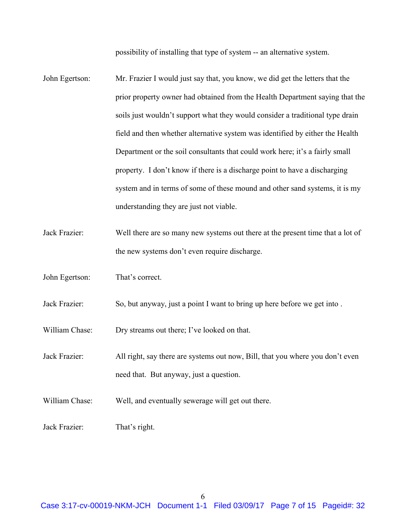possibility of installing that type of system -- an alternative system.

- John Egertson: Mr. Frazier I would just say that, you know, we did get the letters that the prior property owner had obtained from the Health Department saying that the soils just wouldn't support what they would consider a traditional type drain field and then whether alternative system was identified by either the Health Department or the soil consultants that could work here; it's a fairly small property. I don't know if there is a discharge point to have a discharging system and in terms of some of these mound and other sand systems, it is my understanding they are just not viable.
- Jack Frazier: Well there are so many new systems out there at the present time that a lot of the new systems don't even require discharge.
- John Egertson: That's correct.
- Jack Frazier: So, but anyway, just a point I want to bring up here before we get into .

William Chase: Dry streams out there; I've looked on that.

Jack Frazier: All right, say there are systems out now, Bill, that you where you don't even need that. But anyway, just a question.

William Chase: Well, and eventually sewerage will get out there.

Jack Frazier: That's right.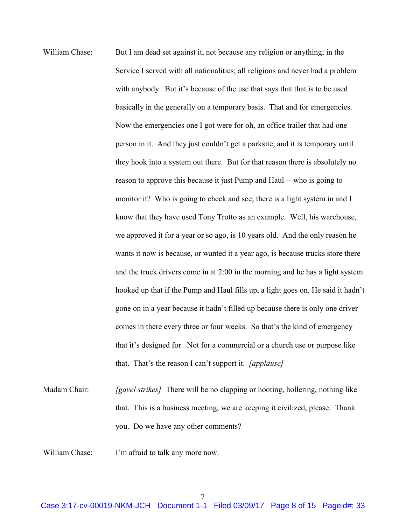- William Chase: But I am dead set against it, not because any religion or anything; in the Service I served with all nationalities; all religions and never had a problem with anybody. But it's because of the use that says that that is to be used basically in the generally on a temporary basis. That and for emergencies. Now the emergencies one I got were for oh, an office trailer that had one person in it. And they just couldn't get a parksite, and it is temporary until they hook into a system out there. But for that reason there is absolutely no reason to approve this because it just Pump and Haul -- who is going to monitor it? Who is going to check and see; there is a light system in and I know that they have used Tony Trotto as an example. Well, his warehouse, we approved it for a year or so ago, is 10 years old. And the only reason he wants it now is because, or wanted it a year ago, is because trucks store there and the truck drivers come in at 2:00 in the morning and he has a light system hooked up that if the Pump and Haul fills up, a light goes on. He said it hadn't gone on in a year because it hadn't filled up because there is only one driver comes in there every three or four weeks. So that's the kind of emergency that it's designed for. Not for a commercial or a church use or purpose like that. That's the reason I can't support it. *[applause]*
- Madam Chair: [gavel strikes] There will be no clapping or hooting, hollering, nothing like that. This is a business meeting; we are keeping it civilized, please. Thank you. Do we have any other comments?
- William Chase: I'm afraid to talk any more now.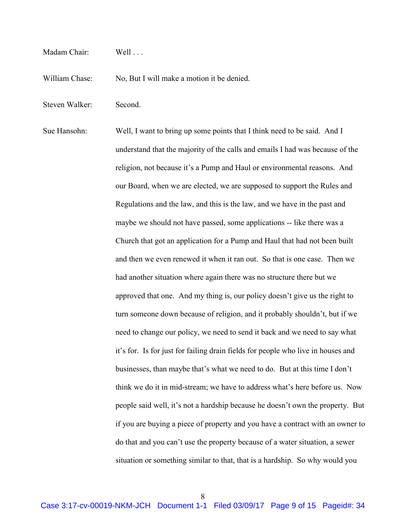- Madam Chair: Well
- William Chase: No, But I will make a motion it be denied.
- Steven Walker: Second.
- Sue Hansohn: Well, I want to bring up some points that I think need to be said. And I understand that the majority of the calls and emails I had was because of the religion, not because it's a Pump and Haul or environmental reasons. And our Board, when we are elected, we are supposed to support the Rules and Regulations and the law, and this is the law, and we have in the past and maybe we should not have passed, some applications -- like there was a Church that got an application for a Pump and Haul that had not been built and then we even renewed it when it ran out. So that is one case. Then we had another situation where again there was no structure there but we approved that one. And my thing is, our policy doesn't give us the right to turn someone down because of religion, and it probably shouldn't, but if we need to change our policy, we need to send it back and we need to say what it's for. Is for just for failing drain fields for people who live in houses and businesses, than maybe that's what we need to do. But at this time I don't think we do it in mid-stream; we have to address what's here before us. Now people said well, it's not a hardship because he doesn't own the property. But if you are buying a piece of property and you have a contract with an owner to do that and you can't use the property because of a water situation, a sewer situation or something similar to that, that is a hardship. So why would you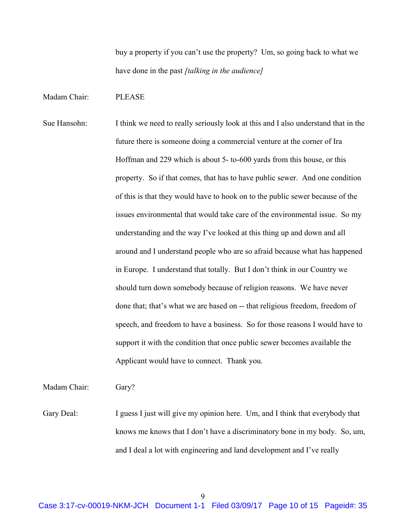buy a property if you can't use the property? Um, so going back to what we have done in the past [talking in the audience]

#### Madam Chair: PLEASE

Sue Hansohn: I think we need to really seriously look at this and I also understand that in the future there is someone doing a commercial venture at the corner of Ira Hoffman and 229 which is about 5- to-600 yards from this house, or this property. So if that comes, that has to have public sewer. And one condition of this is that they would have to hook on to the public sewer because of the issues environmental that would take care of the environmental issue. So my understanding and the way I've looked at this thing up and down and all around and I understand people who are so afraid because what has happened in Europe. I understand that totally. But I don't think in our Country we should turn down somebody because of religion reasons. We have never done that; that's what we are based on -- that religious freedom, freedom of speech, and freedom to have a business. So for those reasons I would have to support it with the condition that once public sewer becomes available the Applicant would have to connect. Thank you.

Madam Chair: Gary?

Gary Deal: I guess I just will give my opinion here. Um, and I think that everybody that knows me knows that I don't have a discriminatory bone in my body. So, um, and I deal a lot with engineering and land development and I've really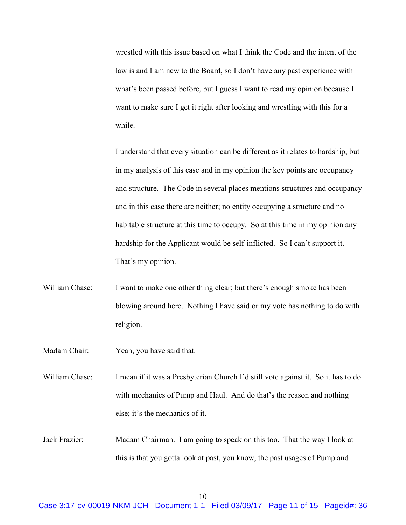wrestled with this issue based on what I think the Code and the intent of the law is and I am new to the Board, so I don't have any past experience with what's been passed before, but I guess I want to read my opinion because I want to make sure I get it right after looking and wrestling with this for a while.

I understand that every situation can be different as it relates to hardship, but in my analysis of this case and in my opinion the key points are occupancy and structure. The Code in several places mentions structures and occupancy and in this case there are neither; no entity occupying a structure and no habitable structure at this time to occupy. So at this time in my opinion any hardship for the Applicant would be self-inflicted. So I can't support it. That's my opinion.

- William Chase: I want to make one other thing clear; but there's enough smoke has been blowing around here. Nothing I have said or my vote has nothing to do with religion.
- Madam Chair: Yeah, you have said that.

William Chase: I mean if it was a Presbyterian Church I'd still vote against it. So it has to do with mechanics of Pump and Haul. And do that's the reason and nothing else; it's the mechanics of it.

Jack Frazier: Madam Chairman. I am going to speak on this too. That the way I look at this is that you gotta look at past, you know, the past usages of Pump and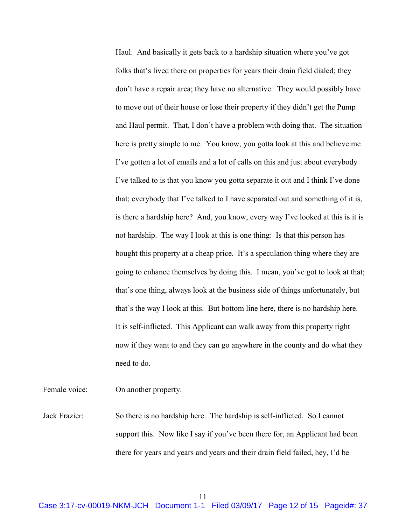Haul. And basically it gets back to a hardship situation where you've got folks that's lived there on properties for years their drain field dialed; they don't have a repair area; they have no alternative. They would possibly have to move out of their house or lose their property if they didn't get the Pump and Haul permit. That, I don't have a problem with doing that. The situation here is pretty simple to me. You know, you gotta look at this and believe me I've gotten a lot of emails and a lot of calls on this and just about everybody I've talked to is that you know you gotta separate it out and I think I've done that; everybody that I've talked to I have separated out and something of it is, is there a hardship here? And, you know, every way I've looked at this is it is not hardship. The way I look at this is one thing: Is that this person has bought this property at a cheap price. It's a speculation thing where they are going to enhance themselves by doing this. I mean, you've got to look at that; that's one thing, always look at the business side of things unfortunately, but that's the way I look at this. But bottom line here, there is no hardship here. It is self-inflicted. This Applicant can walk away from this property right now if they want to and they can go anywhere in the county and do what they need to do.

Female voice: On another property.

Jack Frazier: So there is no hardship here. The hardship is self-inflicted. So I cannot support this. Now like I say if you've been there for, an Applicant had been there for years and years and years and their drain field failed, hey, I'd be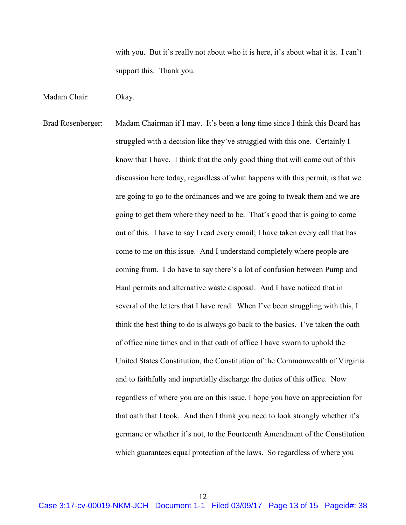with you. But it's really not about who it is here, it's about what it is. I can't support this. Thank you.

Madam Chair: Okay.

Brad Rosenberger: Madam Chairman if I may. It's been a long time since I think this Board has struggled with a decision like they've struggled with this one. Certainly I know that I have. I think that the only good thing that will come out of this discussion here today, regardless of what happens with this permit, is that we are going to go to the ordinances and we are going to tweak them and we are going to get them where they need to be. That's good that is going to come out of this. I have to say I read every email; I have taken every call that has come to me on this issue. And I understand completely where people are coming from. I do have to say there's a lot of confusion between Pump and Haul permits and alternative waste disposal. And I have noticed that in several of the letters that I have read. When I've been struggling with this, I think the best thing to do is always go back to the basics. I've taken the oath of office nine times and in that oath of office I have sworn to uphold the United States Constitution, the Constitution of the Commonwealth of Virginia and to faithfully and impartially discharge the duties of this office. Now regardless of where you are on this issue, I hope you have an appreciation for that oath that I took. And then I think you need to look strongly whether it's germane or whether it's not, to the Fourteenth Amendment of the Constitution which guarantees equal protection of the laws. So regardless of where you

12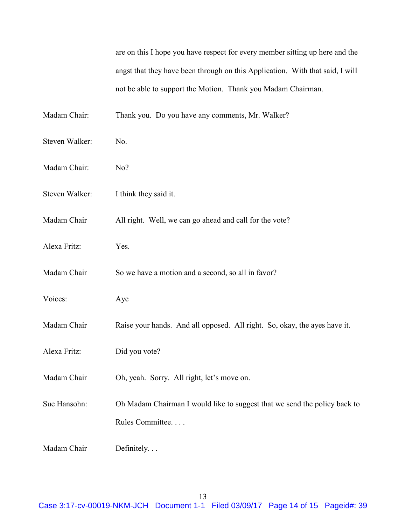are on this I hope you have respect for every member sitting up here and the angst that they have been through on this Application. With that said, I will not be able to support the Motion. Thank you Madam Chairman.

Madam Chair: Thank you. Do you have any comments, Mr. Walker?

- Steven Walker: No.
- Madam Chair: No?
- Steven Walker: I think they said it.
- Madam Chair All right. Well, we can go ahead and call for the vote?
- Alexa Fritz: Yes.
- Madam Chair So we have a motion and a second, so all in favor?
- Voices: Aye
- Madam Chair Raise your hands. And all opposed. All right. So, okay, the ayes have it.
- Alexa Fritz: Did you vote?
- Madam Chair Oh, yeah. Sorry. All right, let's move on.
- Sue Hansohn: Oh Madam Chairman I would like to suggest that we send the policy back to Rules Committee. . . .

Madam Chair Definitely...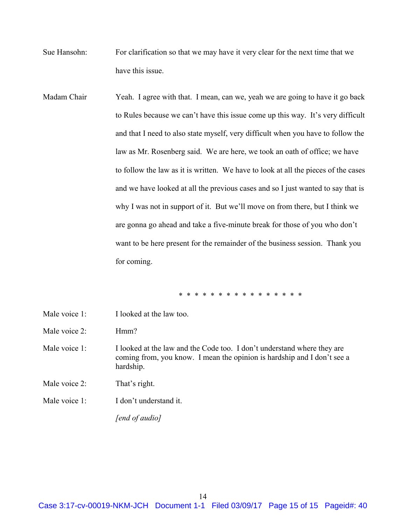- Sue Hansohn: For clarification so that we may have it very clear for the next time that we have this issue.
- Madam Chair Yeah. I agree with that. I mean, can we, yeah we are going to have it go back to Rules because we can't have this issue come up this way. It's very difficult and that I need to also state myself, very difficult when you have to follow the law as Mr. Rosenberg said. We are here, we took an oath of office; we have to follow the law as it is written. We have to look at all the pieces of the cases and we have looked at all the previous cases and so I just wanted to say that is why I was not in support of it. But we'll move on from there, but I think we are gonna go ahead and take a five-minute break for those of you who don't want to be here present for the remainder of the business session. Thank you for coming.

\* \* \* \* \* \* \* \* \* \* \* \* \* \* \* \*

| Male voice 1: | I looked at the law too.                                                                                                                                        |
|---------------|-----------------------------------------------------------------------------------------------------------------------------------------------------------------|
| Male voice 2: | Hmm?                                                                                                                                                            |
| Male voice 1: | I looked at the law and the Code too. I don't understand where they are<br>coming from, you know. I mean the opinion is hardship and I don't see a<br>hardship. |
| Male voice 2: | That's right.                                                                                                                                                   |
| Male voice 1: | I don't understand it.                                                                                                                                          |
|               | rend of audio]                                                                                                                                                  |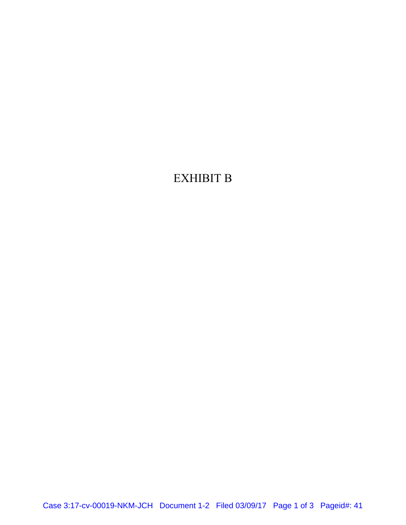# EXHIBIT B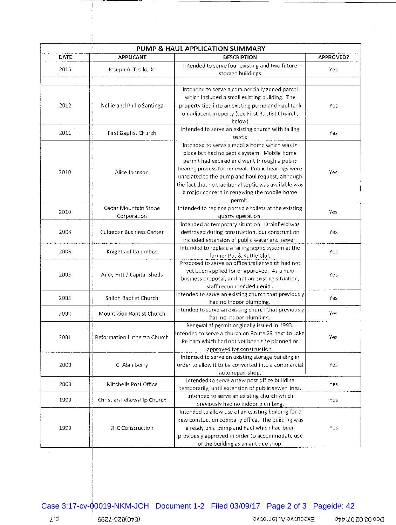|      | PUMP & HAUL APPLICATION SUMMARY     |                                                                                                                                                                                                                                                                                                                                                                         |           |  |  |  |  |
|------|-------------------------------------|-------------------------------------------------------------------------------------------------------------------------------------------------------------------------------------------------------------------------------------------------------------------------------------------------------------------------------------------------------------------------|-----------|--|--|--|--|
| DATE | <b>APPLICANT</b>                    | <b>DESCRIPTION</b>                                                                                                                                                                                                                                                                                                                                                      | APPROVED? |  |  |  |  |
| 2015 | Joseph A. Troilo, Jr.               | Intended to serve four existing and two future<br>storage buildings                                                                                                                                                                                                                                                                                                     | Yes       |  |  |  |  |
| 2012 | Nellie and Philip Santinga          | Intended to serve a commercially zoned parcel<br>which included a small existing building. The<br>property tied into an existing pump and haul tank<br>on adjacent property (see First Baptist Chuirch,                                                                                                                                                                 | Yes       |  |  |  |  |
| 2011 | First Baptist Church                | below)<br>Intended to serve an existing church with failing<br>septic                                                                                                                                                                                                                                                                                                   | Yes       |  |  |  |  |
| 2010 | Alice Johnson                       | Intended to serve a mobile home which was in<br>place but had no septic system. Mobile home<br>permit had expired and went through a public<br>hearing process for renewal. Public hearings were<br>unrelated to the pump and haul request, although<br>the fact that no traditional septic was available was<br>a major concern in renewing the mobile home<br>permit. | Yes       |  |  |  |  |
| 2010 | Cedar Mountain Stone<br>Corporation | Intended to replace portable toilets at the existing<br>quarry operation.                                                                                                                                                                                                                                                                                               | Yes       |  |  |  |  |
| 2008 | <b>Culpeper Business Center</b>     | Intended as temporary situation. Drainfield was<br>destroyed during construction, but construction<br>included extension of public water and sewer.                                                                                                                                                                                                                     | Yes       |  |  |  |  |
| 2006 | Knights of Columbus                 | Intended to replace a failing septic system at the<br>former Pot & Kettle Club                                                                                                                                                                                                                                                                                          | Yes       |  |  |  |  |
| 2005 | Andy Fitt / Capital Sheds           | Proposed to serve an office trailer which had not<br>yet been applied for or approved. As a new<br>business proposal, and not an existing situation,<br>staff recommended denial.                                                                                                                                                                                       | Yes       |  |  |  |  |
| 2005 | Shiloh Baptist Church               | Intended to serve an existing church that previously<br>had no indoor plumbing.                                                                                                                                                                                                                                                                                         | Yes       |  |  |  |  |
| 2002 | Mount Zion Baptist Church           | Intended to serve an existing church that previously<br>had no indoor plumbing.                                                                                                                                                                                                                                                                                         | Yes       |  |  |  |  |
| 2001 | Reformation Lutheran Church         | Renewal af permit originally issued in 1993.<br>Intended to serve a church on Route 29 next to Lake<br>Pe ham which had not yet been site planned or<br>approved for construction.                                                                                                                                                                                      | Yes       |  |  |  |  |
| 2000 | C. Alan Berry                       | Intended to serve an existing storage building in<br>order to allow it to be converted into a commercial<br>auto repair shop.                                                                                                                                                                                                                                           | Yes       |  |  |  |  |
| 2000 | Mitchells Post Office               | Intended to serve a new post office building<br>temporarily, until extension of public sewer lines.                                                                                                                                                                                                                                                                     | Yes       |  |  |  |  |
| 1999 | Christian Fellowship Church         | Intended to serve an existing church which<br>previously had no indoor plumbing.                                                                                                                                                                                                                                                                                        | Yes       |  |  |  |  |
| 1999 | <b>JHC Construction</b>             | Intended to allow use of an existing building for a<br>new constuction company office. The building was<br>already on a pump and haul which had been<br>previously approved in order to accommodate use<br>of the building as an antique shop.                                                                                                                          | Yes       |  |  |  |  |

 $\sim$ 

Ť

Leo 02 02 Pec Utilian en la continua evitomotuA evituoex<sup>3</sup> experimental en la consequence de la consequence de l

 $\mathbb{Z}^2$ 

 $\mathcal{L}$